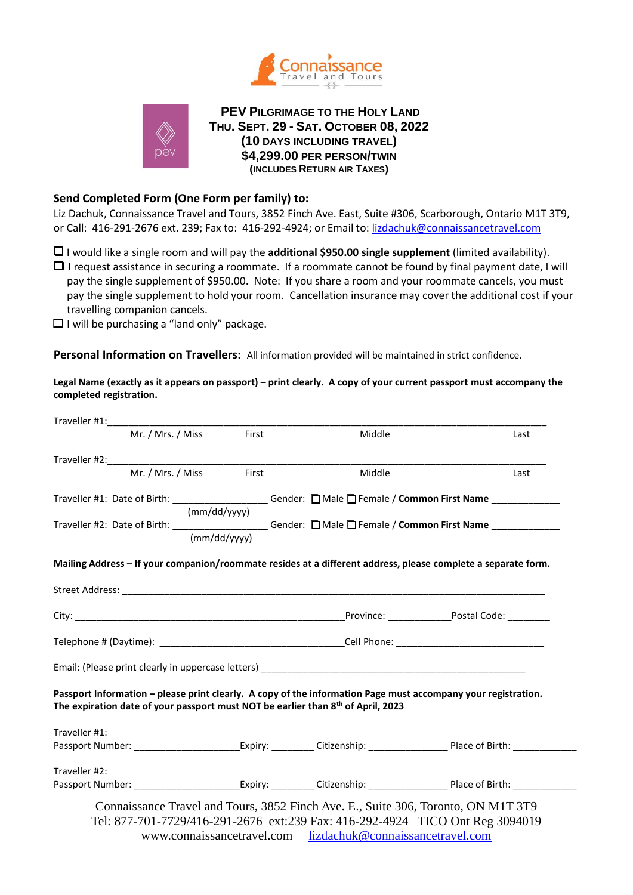



**PEV PILGRIMAGE TO THE HOLY LAND THU. SEPT. 29 - SAT. OCTOBER 08, 2022 (10 DAYS INCLUDING TRAVEL) \$4,299.00 PER PERSON/TWIN (INCLUDES RETURN AIR TAXES)**

# **Send Completed Form (One Form per family) to:**

Liz Dachuk, Connaissance Travel and Tours, 3852 Finch Ave. East, Suite #306, Scarborough, Ontario M1T 3T9, or Call: 416-291-2676 ext. 239; Fax to: 416-292-4924; or Email to: [lizdachuk@connaissancetravel.com](mailto:lizdachuk@connaissancetravel.com)

❑ I would like a single room and will pay the **additional \$950.00 single supplement** (limited availability).

❑ I request assistance in securing a roommate. If a roommate cannot be found by final payment date, I will pay the single supplement of \$950.00. Note: If you share a room and your roommate cancels, you must pay the single supplement to hold your room. Cancellation insurance may cover the additional cost if your travelling companion cancels.

 $\Box$  I will be purchasing a "land only" package.

**Personal Information on Travellers:** All information provided will be maintained in strict confidence.

**Legal Name (exactly as it appears on passport) – print clearly. A copy of your current passport must accompany the completed registration.**

| Traveller #1: Traveller #1:                                                                              |                   |       |                                                                                                                                                                                                               |      |  |
|----------------------------------------------------------------------------------------------------------|-------------------|-------|---------------------------------------------------------------------------------------------------------------------------------------------------------------------------------------------------------------|------|--|
|                                                                                                          | Mr. / Mrs. / Miss | First | Middle                                                                                                                                                                                                        | Last |  |
|                                                                                                          |                   |       |                                                                                                                                                                                                               |      |  |
| Traveller #2: Mr. / Mrs. / Miss First                                                                    |                   |       | Middle                                                                                                                                                                                                        | Last |  |
| Traveller #1: Date of Birth: ____________________Gender: DMale DFemale / Common First Name _____________ |                   |       |                                                                                                                                                                                                               |      |  |
|                                                                                                          | (mm/dd/yyyy)      |       |                                                                                                                                                                                                               |      |  |
|                                                                                                          |                   |       | Traveller #2: Date of Birth: ___________________Gender: DMale DFemale / Common First Name ___________                                                                                                         |      |  |
|                                                                                                          | (mm/dd/vvvv)      |       |                                                                                                                                                                                                               |      |  |
|                                                                                                          |                   |       | Mailing Address - If your companion/roommate resides at a different address, please complete a separate form.                                                                                                 |      |  |
|                                                                                                          |                   |       |                                                                                                                                                                                                               |      |  |
|                                                                                                          |                   |       |                                                                                                                                                                                                               |      |  |
|                                                                                                          |                   |       |                                                                                                                                                                                                               |      |  |
|                                                                                                          |                   |       |                                                                                                                                                                                                               |      |  |
|                                                                                                          |                   |       |                                                                                                                                                                                                               |      |  |
|                                                                                                          |                   |       | Passport Information - please print clearly. A copy of the information Page must accompany your registration.<br>The expiration date of your passport must NOT be earlier than 8 <sup>th</sup> of April, 2023 |      |  |
|                                                                                                          |                   |       |                                                                                                                                                                                                               |      |  |
|                                                                                                          |                   |       | Passport Number: __________________________Expiry: ___________Citizenship: _________________________Place of Birth: __________________                                                                        |      |  |
| Traveller #1:<br>Traveller #2:                                                                           |                   |       |                                                                                                                                                                                                               |      |  |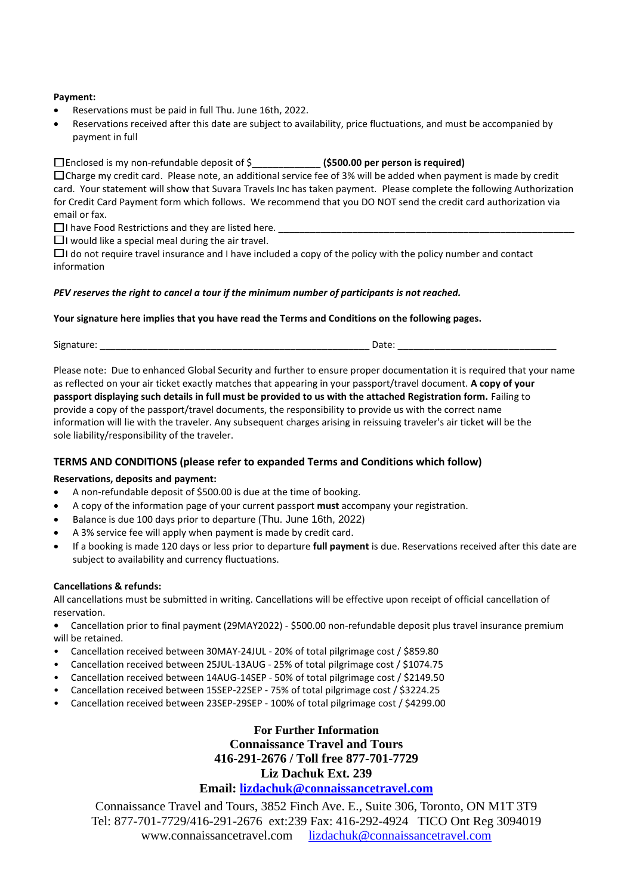#### **Payment:**

- Reservations must be paid in full Thu. June 16th, 2022.
- Reservations received after this date are subject to availability, price fluctuations, and must be accompanied by payment in full

❑ Enclosed is my non-refundable deposit of \$\_\_\_\_\_\_\_\_\_\_\_\_\_ **(\$500.00 per person is required)** ❑ Charge my credit card. Please note, an additional service fee of 3% will be added when payment is made by credit card. Your statement will show that Suvara Travels Inc has taken payment. Please complete the following Authorization for Credit Card Payment form which follows. We recommend that you DO NOT send the credit card authorization via email or fax.

 $\Box$  I have Food Restrictions and they are listed here.

 $\Box$  I would like a special meal during the air travel.

❑ I do not require travel insurance and I have included a copy of the policy with the policy number and contact information

#### *PEV reserves the right to cancel a tour if the minimum number of participants is not reached.*

#### **Your signature here implies that you have read the Terms and Conditions on the following pages.**

Signature: \_\_\_\_\_\_\_\_\_\_\_\_\_\_\_\_\_\_\_\_\_\_\_\_\_\_\_\_\_\_\_\_\_\_\_\_\_\_\_\_\_\_\_\_\_\_\_\_\_\_\_ Date: \_\_\_\_\_\_\_\_\_\_\_\_\_\_\_\_\_\_\_\_\_\_\_\_\_\_\_\_\_\_

Please note: Due to enhanced Global Security and further to ensure proper documentation it is required that your name as reflected on your air ticket exactly matches that appearing in your passport/travel document. **A copy of your passport displaying such details in full must be provided to us with the attached Registration form.** Failing to provide a copy of the passport/travel documents, the responsibility to provide us with the correct name information will lie with the traveler. Any subsequent charges arising in reissuing traveler's air ticket will be the sole liability/responsibility of the traveler.

# **TERMS AND CONDITIONS (please refer to expanded Terms and Conditions which follow)**

# **Reservations, deposits and payment:**

- A non-refundable deposit of \$500.00 is due at the time of booking.
- A copy of the information page of your current passport **must** accompany your registration.
- Balance is due 100 days prior to departure (Thu. June 16th, 2022)
- A 3% service fee will apply when payment is made by credit card.
- If a booking is made 120 days or less prior to departure **full payment** is due. Reservations received after this date are subject to availability and currency fluctuations.

#### **Cancellations & refunds:**

All cancellations must be submitted in writing. Cancellations will be effective upon receipt of official cancellation of reservation.

- **•** Cancellation prior to final payment (29MAY2022) \$500.00 non-refundable deposit plus travel insurance premium will be retained.
- Cancellation received between 30MAY-24JUL 20% of total pilgrimage cost / \$859.80
- Cancellation received between 25JUL-13AUG 25% of total pilgrimage cost / \$1074.75
- Cancellation received between 14AUG-14SEP 50% of total pilgrimage cost / \$2149.50
- Cancellation received between 15SEP-22SEP 75% of total pilgrimage cost / \$3224.25
- Cancellation received between 23SEP-29SEP 100% of total pilgrimage cost / \$4299.00

**For Further Information Connaissance Travel and Tours 416-291-2676 / Toll free 877-701-7729 Liz Dachuk Ext. 239 Email: [lizdachuk@connaissancetravel.com](mailto:lizdachuk@connaissancetravel.com)**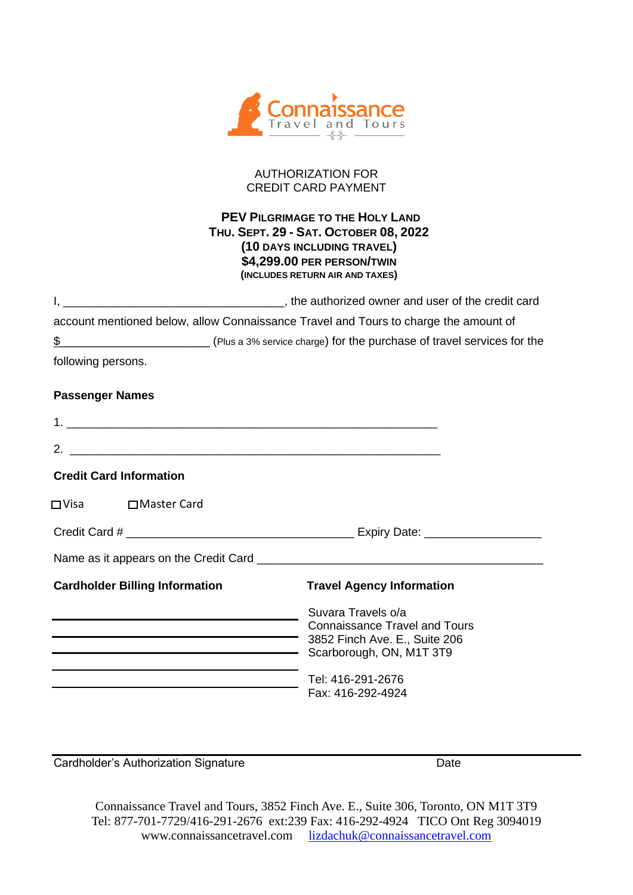

# AUTHORIZATION FOR CREDIT CARD PAYMENT

# **PEV PILGRIMAGE TO THE HOLY LAND THU. SEPT. 29 - SAT. OCTOBER 08, 2022 (10 DAYS INCLUDING TRAVEL) \$4,299.00 PER PERSON/TWIN (INCLUDES RETURN AIR AND TAXES)**

|                       | , the authorized owner and user of the credit card                                   |
|-----------------------|--------------------------------------------------------------------------------------|
|                       | account mentioned below, allow Connaissance Travel and Tours to charge the amount of |
| \$                    | (Plus a 3% service charge) for the purchase of travel services for the               |
| $\epsilon$ is the set |                                                                                      |

following persons.

# **Passenger Names**

| <u> 1989 - Johann John Stoff, deutscher Stoff, der Stoff, der Stoff, der Stoff, der Stoff, der Stoff, der Stoff, </u> |                                                                                                                         |  |
|-----------------------------------------------------------------------------------------------------------------------|-------------------------------------------------------------------------------------------------------------------------|--|
| 2 <sub>1</sub><br><u> 1989 - Jan Barnett, fransk politiker (d. 1989)</u>                                              |                                                                                                                         |  |
| <b>Credit Card Information</b>                                                                                        |                                                                                                                         |  |
| □ Visa □ Master Card                                                                                                  |                                                                                                                         |  |
|                                                                                                                       |                                                                                                                         |  |
|                                                                                                                       |                                                                                                                         |  |
| <b>Cardholder Billing Information</b>                                                                                 | <b>Travel Agency Information</b>                                                                                        |  |
|                                                                                                                       | Suvara Travels o/a<br><b>Connaissance Travel and Tours</b><br>3852 Finch Ave. E., Suite 206<br>Scarborough, ON, M1T 3T9 |  |
|                                                                                                                       | Tel: 416-291-2676<br>Fax: 416-292-4924                                                                                  |  |

**Cardholder's Authorization Signature Cardinal Cardholder's Authorization Signature** Date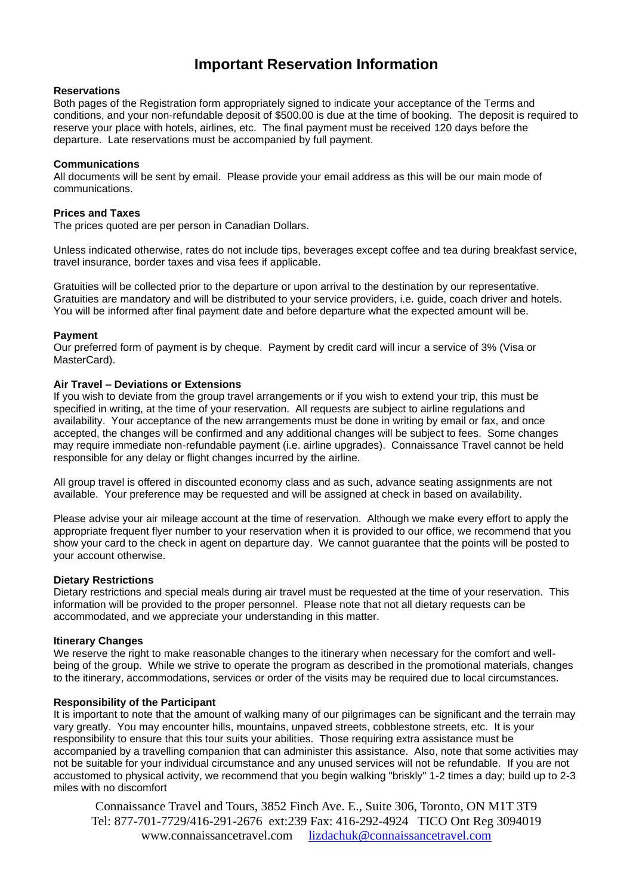# **Important Reservation Information**

# **Reservations**

Both pages of the Registration form appropriately signed to indicate your acceptance of the Terms and conditions, and your non-refundable deposit of \$500.00 is due at the time of booking. The deposit is required to reserve your place with hotels, airlines, etc. The final payment must be received 120 days before the departure. Late reservations must be accompanied by full payment.

#### **Communications**

All documents will be sent by email. Please provide your email address as this will be our main mode of communications.

#### **Prices and Taxes**

The prices quoted are per person in Canadian Dollars.

Unless indicated otherwise, rates do not include tips, beverages except coffee and tea during breakfast service, travel insurance, border taxes and visa fees if applicable.

Gratuities will be collected prior to the departure or upon arrival to the destination by our representative. Gratuities are mandatory and will be distributed to your service providers, i.e. guide, coach driver and hotels. You will be informed after final payment date and before departure what the expected amount will be.

#### **Payment**

Our preferred form of payment is by cheque. Payment by credit card will incur a service of 3% (Visa or MasterCard).

## **Air Travel – Deviations or Extensions**

If you wish to deviate from the group travel arrangements or if you wish to extend your trip, this must be specified in writing, at the time of your reservation. All requests are subject to airline regulations and availability. Your acceptance of the new arrangements must be done in writing by email or fax, and once accepted, the changes will be confirmed and any additional changes will be subject to fees. Some changes may require immediate non-refundable payment (i.e. airline upgrades). Connaissance Travel cannot be held responsible for any delay or flight changes incurred by the airline.

All group travel is offered in discounted economy class and as such, advance seating assignments are not available. Your preference may be requested and will be assigned at check in based on availability.

Please advise your air mileage account at the time of reservation. Although we make every effort to apply the appropriate frequent flyer number to your reservation when it is provided to our office, we recommend that you show your card to the check in agent on departure day. We cannot guarantee that the points will be posted to your account otherwise.

#### **Dietary Restrictions**

Dietary restrictions and special meals during air travel must be requested at the time of your reservation. This information will be provided to the proper personnel. Please note that not all dietary requests can be accommodated, and we appreciate your understanding in this matter.

#### **Itinerary Changes**

We reserve the right to make reasonable changes to the itinerary when necessary for the comfort and wellbeing of the group. While we strive to operate the program as described in the promotional materials, changes to the itinerary, accommodations, services or order of the visits may be required due to local circumstances.

## **Responsibility of the Participant**

It is important to note that the amount of walking many of our pilgrimages can be significant and the terrain may vary greatly. You may encounter hills, mountains, unpaved streets, cobblestone streets, etc. It is your responsibility to ensure that this tour suits your abilities. Those requiring extra assistance must be accompanied by a travelling companion that can administer this assistance. Also, note that some activities may not be suitable for your individual circumstance and any unused services will not be refundable. If you are not accustomed to physical activity, we recommend that you begin walking "briskly" 1-2 times a day; build up to 2-3 miles with no discomfort